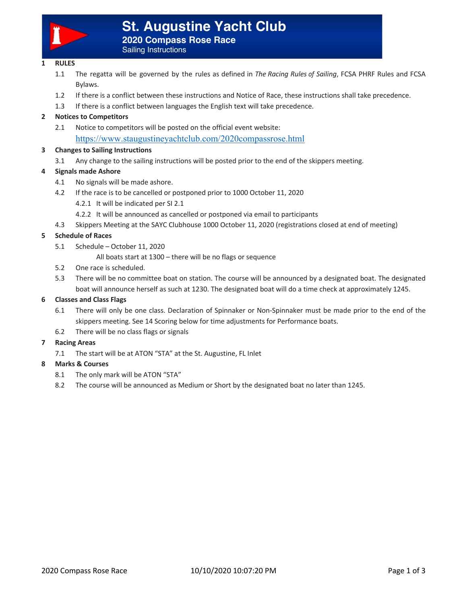

# **St. Augustine Yacht Club**

**2020 Compass Rose Race**

Sailing Instructions

## **1 RULES**

- 1.1 The regatta will be governed by the rules as defined in *The Racing Rules of Sailing*, FCSA PHRF Rules and FCSA Bylaws.
- 1.2 If there is a conflict between these instructions and Notice of Race, these instructions shall take precedence.
- 1.3 If there is a conflict between languages the English text will take precedence.

## **2 Notices to Competitors**

2.1 Notice to competitors will be posted on the official event website: https://www.staugustineyachtclub.com/2020compassrose.html

## **3 Changes to Sailing Instructions**

3.1 Any change to the sailing instructions will be posted prior to the end of the skippers meeting.

## **4 Signals made Ashore**

- 4.1 No signals will be made ashore.
- 4.2 If the race is to be cancelled or postponed prior to 1000 October 11, 2020
	- 4.2.1 It will be indicated per SI 2.1
	- 4.2.2 It will be announced as cancelled or postponed via email to participants
- 4.3 Skippers Meeting at the SAYC Clubhouse 1000 October 11, 2020 (registrations closed at end of meeting)

## **5 Schedule of Races**

- 5.1 Schedule October 11, 2020
	- All boats start at 1300 there will be no flags or sequence
- 5.2 One race is scheduled.
- 5.3 There will be no committee boat on station. The course will be announced by a designated boat. The designated boat will announce herself as such at 1230. The designated boat will do a time check at approximately 1245.

## **6 Classes and Class Flags**

- 6.1 There will only be one class. Declaration of Spinnaker or Non-Spinnaker must be made prior to the end of the skippers meeting. See 14 Scoring below for time adjustments for Performance boats.
- 6.2 There will be no class flags or signals

## **7 Racing Areas**

7.1 The start will be at ATON "STA" at the St. Augustine, FL Inlet

## **8 Marks & Courses**

- 8.1 The only mark will be ATON "STA"
- 8.2 The course will be announced as Medium or Short by the designated boat no later than 1245.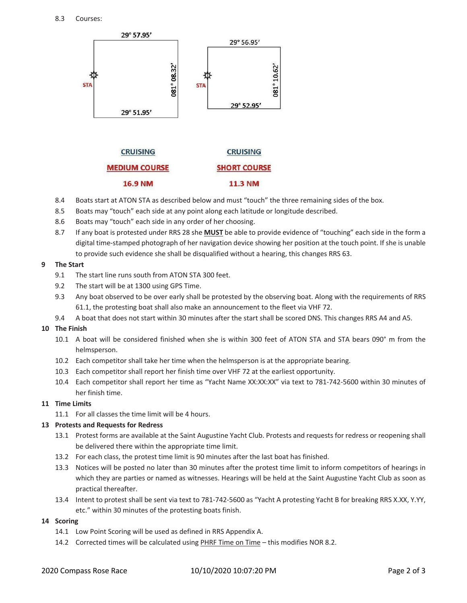

- 8.4 Boats start at ATON STA as described below and must "touch" the three remaining sides of the box.
- 8.5 Boats may "touch" each side at any point along each latitude or longitude described.
- 8.6 Boats may "touch" each side in any order of her choosing.
- 8.7 If any boat is protested under RRS 28 she **MUST** be able to provide evidence of "touching" each side in the form a digital time-stamped photograph of her navigation device showing her position at the touch point. If she is unable to provide such evidence she shall be disqualified without a hearing, this changes RRS 63.

#### **9 The Start**

- 9.1 The start line runs south from ATON STA 300 feet.
- 9.2 The start will be at 1300 using GPS Time.
- 9.3 Any boat observed to be over early shall be protested by the observing boat. Along with the requirements of RRS 61.1, the protesting boat shall also make an announcement to the fleet via VHF 72.
- 9.4 A boat that does not start within 30 minutes after the start shall be scored DNS. This changes RRS A4 and A5.

## **10 The Finish**

- 10.1 A boat will be considered finished when she is within 300 feet of ATON STA and STA bears 090° m from the helmsperson.
- 10.2 Each competitor shall take her time when the helmsperson is at the appropriate bearing.
- 10.3 Each competitor shall report her finish time over VHF 72 at the earliest opportunity.
- 10.4 Each competitor shall report her time as "Yacht Name XX:XX:XX" via text to 781-742-5600 within 30 minutes of her finish time.

## **11 Time Limits**

11.1 For all classes the time limit will be 4 hours.

## **13 Protests and Requests for Redress**

- 13.1 Protest forms are available at the Saint Augustine Yacht Club. Protests and requests for redress or reopening shall be delivered there within the appropriate time limit.
- 13.2 For each class, the protest time limit is 90 minutes after the last boat has finished.
- 13.3 Notices will be posted no later than 30 minutes after the protest time limit to inform competitors of hearings in which they are parties or named as witnesses. Hearings will be held at the Saint Augustine Yacht Club as soon as practical thereafter.
- 13.4 Intent to protest shall be sent via text to 781-742-5600 as "Yacht A protesting Yacht B for breaking RRS X.XX, Y.YY, etc." within 30 minutes of the protesting boats finish.

#### **14 Scoring**

- 14.1 Low Point Scoring will be used as defined in RRS Appendix A.
- 14.2 Corrected times will be calculated using PHRF Time on Time this modifies NOR 8.2.